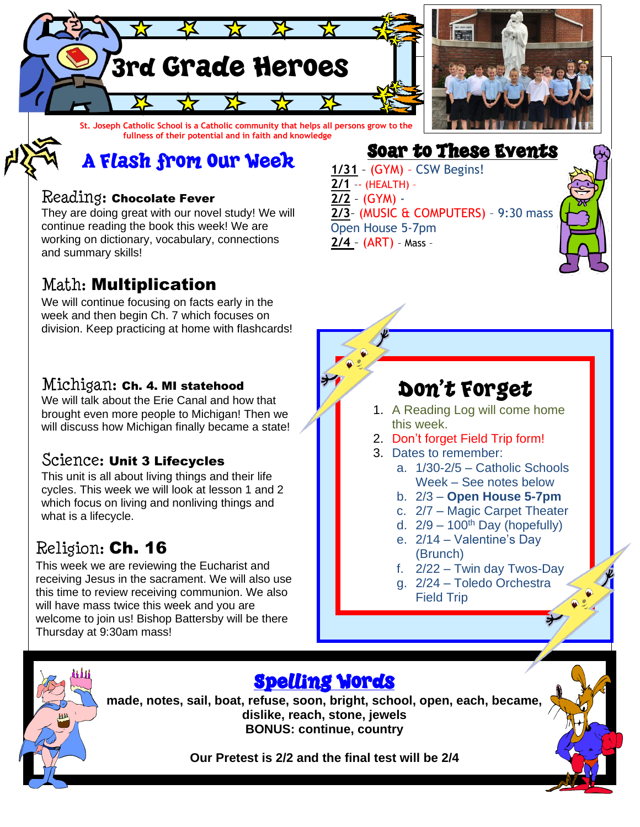

A Flash from Our Week

#### Reading: Chocolate Fever

They are doing great with our novel study! We will continue reading the book this week! We are working on dictionary, vocabulary, connections and summary skills!

### Math: Multiplication

We will continue focusing on facts early in the week and then begin Ch. 7 which focuses on division. Keep practicing at home with flashcards!

#### Michigan: Ch. 4. MI statehood

We will talk about the Erie Canal and how that brought even more people to Michigan! Then we will discuss how Michigan finally became a state!

### Science: Unit 3 Lifecycles

This unit is all about living things and their life cycles. This week we will look at lesson 1 and 2 which focus on living and nonliving things and what is a lifecycle.

### Religion: Ch. 16

This week we are reviewing the Eucharist and receiving Jesus in the sacrament. We will also use this time to review receiving communion. We also will have mass twice this week and you are welcome to join us! Bishop Battersby will be there Thursday at 9:30am mass!

Soar to These Events **1/31** – (GYM) – CSW Begins! **2/1** –- (HEALTH) – **2/2** – (GYM) - **2/3**– (MUSIC & COMPUTERS) – 9:30 mass Open House 5-7pm **2/4** – (ART) – Mass –

## Don't Forget

- 1. A Reading Log will come home this week.
- 2. Don't forget Field Trip form!
- 3. Dates to remember:
	- a. 1/30-2/5 Catholic Schools Week – See notes below
	- b. 2/3 **Open House 5-7pm**
	- c. 2/7 Magic Carpet Theater
	- d.  $2/9 100$ <sup>th</sup> Day (hopefully)
	- e. 2/14 Valentine's Day (Brunch)
	- f. 2/22 Twin day Twos-Day
	- g. 2/24 Toledo Orchestra Field Trip



## Spelling Words

**made, notes, sail, boat, refuse, soon, bright, school, open, each, became, dislike, reach, stone, jewels BONUS: continue, country**

**Our Pretest is 2/2 and the final test will be 2/4**